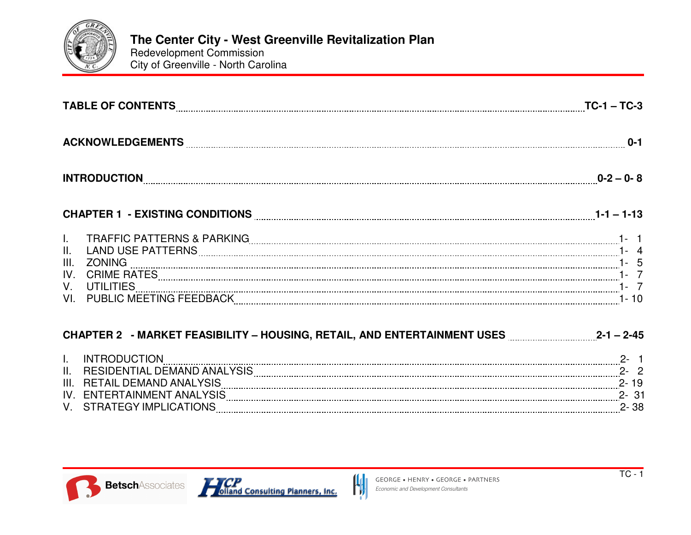

Redevelopment Commission City of Greenville - North Carolina

| INTRODUCTION 2-0-8                                                                                                      |  |
|-------------------------------------------------------------------------------------------------------------------------|--|
| CHAPTER 1 - EXISTING CONDITIONS <b>Example 2006</b> 2006 2010 2010 21:40 21:40 21:40 21:40 21:40 21:40 21:40 21:40 21:4 |  |
| VI. ZONING 1. 20 ANNO 1.<br>IV. CRIME RATES 1. 20 ANNE RATES 1.<br>VI. PUBLIC MEETING FEEDBACK 1. 2000 1. 2000 1. 2011  |  |
| CHAPTER 2 - MARKET FEASIBILITY - HOUSING, RETAIL, AND ENTERTAINMENT USES 2-1 - 2-45                                     |  |
| I. INTRODUCTION <b>CONTRO</b><br>$\sim$ 2-1                                                                             |  |

| . . | <b>NULLUTION</b><br>ייי             |  |
|-----|-------------------------------------|--|
| П.  | <b>RESIDENTIAL</b><br><b>DEMAND</b> |  |
| Ш   | <b>TAIL DEMAND ANALY</b><br>RF I    |  |
| IV. | ENTERTAINMENT ANA                   |  |
|     | <b>IMPI</b><br>RAIFGY<br>÷Α         |  |
|     |                                     |  |

 $\mathcal{H}$ 



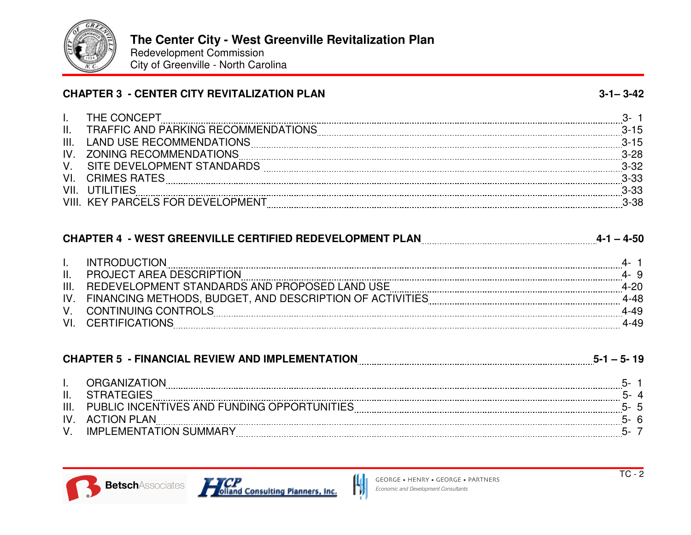

Redevelopment Commission City of Greenville - North Carolina

| <b>CHAPTER 3 - CENTER CITY REVITALIZATION PLAN</b> | $3 - 1 - 3 - 42$ |
|----------------------------------------------------|------------------|
|                                                    |                  |

|      | THE CONCEPT                         |          |
|------|-------------------------------------|----------|
| Η.   | TRAFFIC AND PARKING RECOMMENDATIONS | $3 - 15$ |
| Ш.   | <b>LAND USE RECOMMENDATIONS</b>     |          |
| IV   | <b>ZONING RECOMMENDATIONS</b>       | $3-28$   |
|      | SITE DEVELOPMENT STANDARDS          | 3-30     |
| V١   | CRIMES RATES                        | $3 - 33$ |
| VII. |                                     | בכ־ט     |
|      | <b>KEY PARCELS FOR DEVELOPMENT</b>  |          |

## **CHAPTER 4 - WEST GREENVILLE CERTIFIED REDEVELOPMENT PLAN 4-1 – 4-50**

|                | FRODHC:                                                  |  |
|----------------|----------------------------------------------------------|--|
|                | <b>PROJECT AREA DESCRIPTION</b>                          |  |
| $\mathbf{III}$ | REDEVELOPMENT STANDARDS AND PROPOSED LAND USE            |  |
| IV.            | FINANCING METHODS, BUDGET, AND DESCRIPTION OF ACTIVITIES |  |
|                | <b>CONTINUING CONTROLS</b>                               |  |
|                | CERTIFICATIONS                                           |  |

|                | <b>CHAPTER 5 - FINANCIAL REVIEW AND IMPLEMENTATION</b> | $5 - 1 - 5 - 19$ |  |
|----------------|--------------------------------------------------------|------------------|--|
|                | ORGANIZATION                                           |                  |  |
| Ш.             |                                                        |                  |  |
| $\mathbf{III}$ | PUBLIC INCENTIVES AND FUNDING OPPORTUNITIES            |                  |  |
| IV             | ACTION PLAN                                            |                  |  |
|                | <b>IMPLEMENTATION SUMMARY</b>                          |                  |  |

 $\bm{\mathsf{N}}$